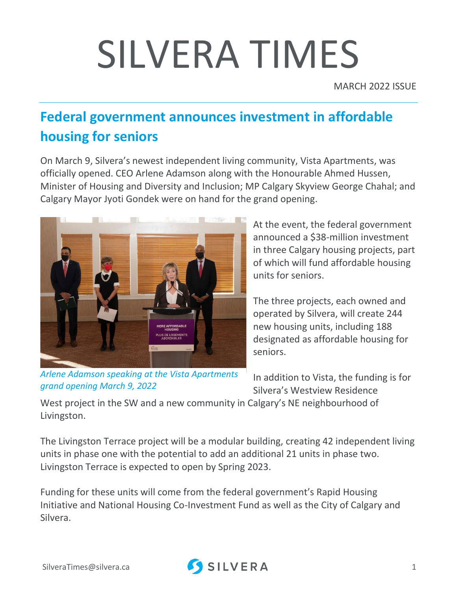# SILVERA TIMES

MARCH 2022 ISSUE

## **Federal government announces investment in affordable housing for seniors**

On March 9, Silvera's newest independent living community, [Vista Apartments,](https://communities.silvera.ca/calgary/vista-residence/) was officially opened. CEO Arlene Adamson along with the Honourable Ahmed Hussen, Minister of Housing and Diversity and Inclusion; MP Calgary Skyview George Chahal; and Calgary Mayor Jyoti Gondek were on hand for the grand opening.



*Arlene Adamson speaking at the Vista Apartments grand opening March 9, 2022*

At the event, the federal government announced a \$38-million investment in three Calgary housing projects, part of which will fund affordable housing units for seniors.

The three projects, each owned and operated by Silvera, will create 244 new housing units, including 188 designated as affordable housing for seniors.

In addition to Vista, the funding is for Silvera's [Westview Residence](https://communities.silvera.ca/calgary/westview-residence-west/) 

[West](https://communities.silvera.ca/calgary/westview-residence-west/) project in the SW and a new community in Calgary's NE neighbourhood of Livingston.

The Livingston Terrace project will be a modular building, creating 42 independent living units in phase one with the potential to add an additional 21 units in phase two. Livingston Terrace is expected to open by Spring 2023.

Funding for these units will come from the federal government's Rapid Housing Initiative and National Housing Co-Investment Fund as well as the City of Calgary and Silvera.

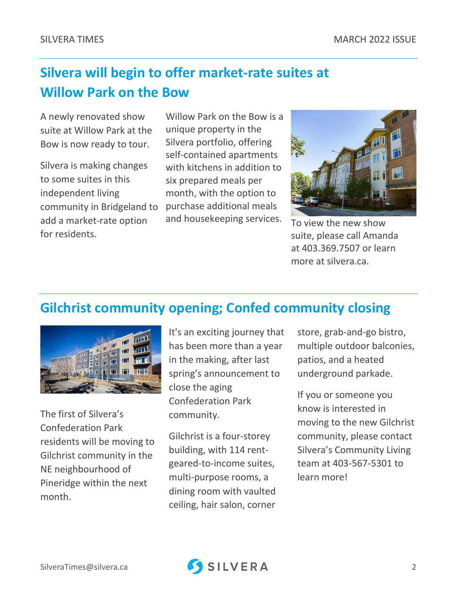### **Silvera will begin to offer market-rate suites at Willow Park on the Bow**

A newly renovated show suite at Willow Park at the Bow is now ready to tour.

Silvera is making changes to some suites in this independent living community in Bridgeland to add a market-rate option for residents.

Willow Park on the Bow is a unique property in the Silvera portfolio, offering self-contained apartments with kitchens in addition to six prepared meals per month, with the option to purchase additional meals and housekeeping services.  $T_0$  view the new show



suite, please call Amanda at 403.369.7507 or learn more at silvera.ca.

#### **Gilchrist community opening; Confed community closing**



The first of Silvera's Confederation Park residents will be moving to Gilchrist community in the NE neighbourhood of Pineridge within the next month.

It's an exciting journey that has been more than a year in the making, after last spring's announcement to close the aging Confederation Park community.

Gilchrist is a four-storey building, with 114 rentgeared-to-income suites, multi-purpose rooms, a dining room with vaulted ceiling, hair salon, corner

store, grab-and-go bistro, multiple outdoor balconies, patios, and a heated underground parkade.

If you or someone you know is interested in moving to the new Gilchrist community, please contact Silvera's Community Living team at 403-567-5301 to learn more!

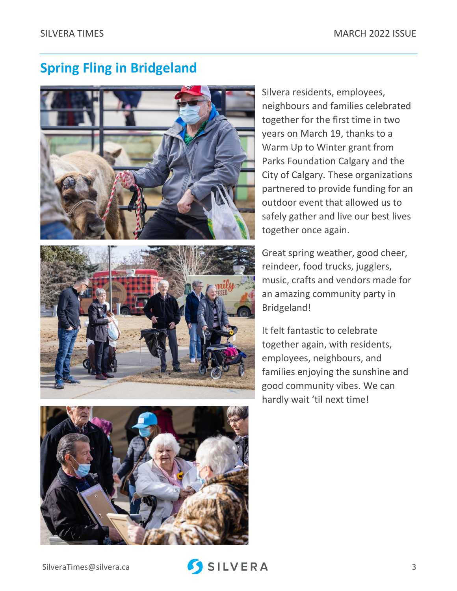#### **Spring Fling in Bridgeland**







Silvera residents, employees, neighbours and families celebrated together for the first time in two years on March 19, thanks to a Warm Up to Winter grant from [Parks Foundation Calgary](https://www.facebook.com/ParksFdnCalgary/?__cft__%5b0%5d=AZVqxKDN8DpxkIhb5r-rrdNIbiG05C7wSBcWZsLWwYLJGbUp8WWkh4QnxzQLEgS9J9iRIgSaNqeX-OjgfF83UpOd3zHUORmdegrlshfOVhrWpJt3TomtsvV6E6ITr0J4mtxqfZV1MxxEM-pJ1WwjWCYg&__tn__=kK-R) and the City of Calgary. These organizations partnered to provide funding for an outdoor event that allowed us to safely gather and live our best lives together once again.

Great spring weather, good cheer, reindeer, food trucks, jugglers, music, crafts and vendors made for an amazing community party in Bridgeland!

It felt fantastic to celebrate together again, with residents, employees, neighbours, and families enjoying the sunshine and good community vibes. We can hardly wait 'til next time!